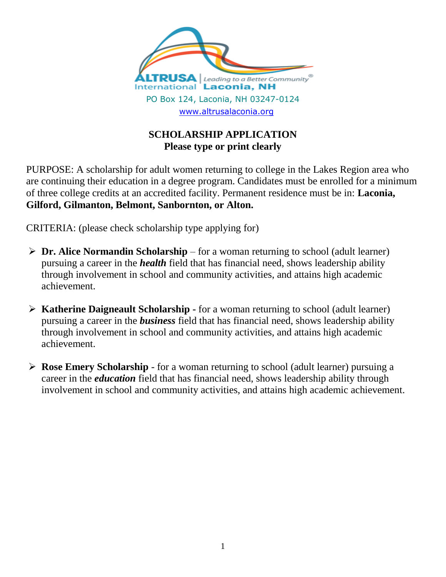

## **SCHOLARSHIP APPLICATION Please type or print clearly**

PURPOSE: A scholarship for adult women returning to college in the Lakes Region area who are continuing their education in a degree program. Candidates must be enrolled for a minimum of three college credits at an accredited facility. Permanent residence must be in: **Laconia, Gilford, Gilmanton, Belmont, Sanbornton, or Alton.**

CRITERIA: (please check scholarship type applying for)

- **Dr. Alice Normandin Scholarship**  for a woman returning to school (adult learner) pursuing a career in the *health* field that has financial need, shows leadership ability through involvement in school and community activities, and attains high academic achievement.
- **Katherine Daigneault Scholarship -** for a woman returning to school (adult learner) pursuing a career in the *business* field that has financial need, shows leadership ability through involvement in school and community activities, and attains high academic achievement.
- **Rose Emery Scholarship** for a woman returning to school (adult learner) pursuing a career in the *education* field that has financial need, shows leadership ability through involvement in school and community activities, and attains high academic achievement.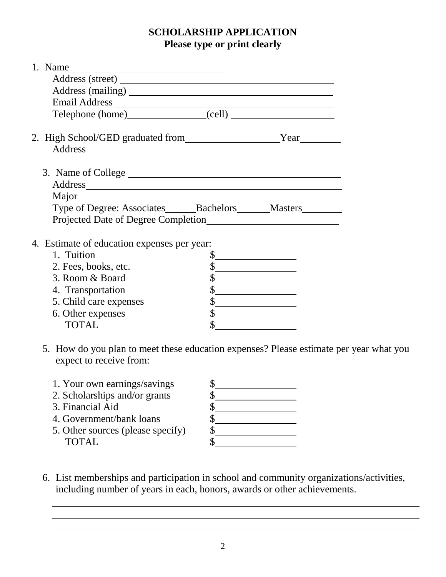## **SCHOLARSHIP APPLICATION Please type or print clearly**

| 1. Name                                                  |    |                                                                                                                      |  |  |
|----------------------------------------------------------|----|----------------------------------------------------------------------------------------------------------------------|--|--|
|                                                          |    |                                                                                                                      |  |  |
|                                                          |    |                                                                                                                      |  |  |
|                                                          |    |                                                                                                                      |  |  |
| Telephone (home) (cell)                                  |    |                                                                                                                      |  |  |
| 2. High School/GED graduated from Year                   |    |                                                                                                                      |  |  |
|                                                          |    |                                                                                                                      |  |  |
|                                                          |    |                                                                                                                      |  |  |
| 3. Name of College                                       |    |                                                                                                                      |  |  |
|                                                          |    |                                                                                                                      |  |  |
| Major                                                    |    |                                                                                                                      |  |  |
| Type of Degree: Associates_______Bachelors______Masters_ |    |                                                                                                                      |  |  |
| Projected Date of Degree Completion                      |    |                                                                                                                      |  |  |
|                                                          |    |                                                                                                                      |  |  |
| 4. Estimate of education expenses per year:              |    |                                                                                                                      |  |  |
|                                                          |    |                                                                                                                      |  |  |
| 1. Tuition                                               | \$ |                                                                                                                      |  |  |
| 2. Fees, books, etc.                                     | \$ |                                                                                                                      |  |  |
| 3. Room & Board                                          | \$ |                                                                                                                      |  |  |
| 4. Transportation                                        |    | <u> 1989 - Jan Samuel Barbara, politik eta politik eta politik eta politik eta politik eta politik eta politik e</u> |  |  |
| 5. Child care expenses                                   |    | <u> 1989 - Johann Barbara, martin a</u>                                                                              |  |  |
| 6. Other expenses                                        | \$ |                                                                                                                      |  |  |
| <b>TOTAL</b>                                             | \$ |                                                                                                                      |  |  |

- 5. How do you plan to meet these education expenses? Please estimate per year what you expect to receive from:
	- 1. Your own earnings/savings \$
	- 2. Scholarships and/or grants \$
	- 3. Financial Aid \$
	- 4. Government/bank loans \$
	- 5. Other sources (please specify) \$ TOTAL \$

6. List memberships and participation in school and community organizations/activities, including number of years in each, honors, awards or other achievements.